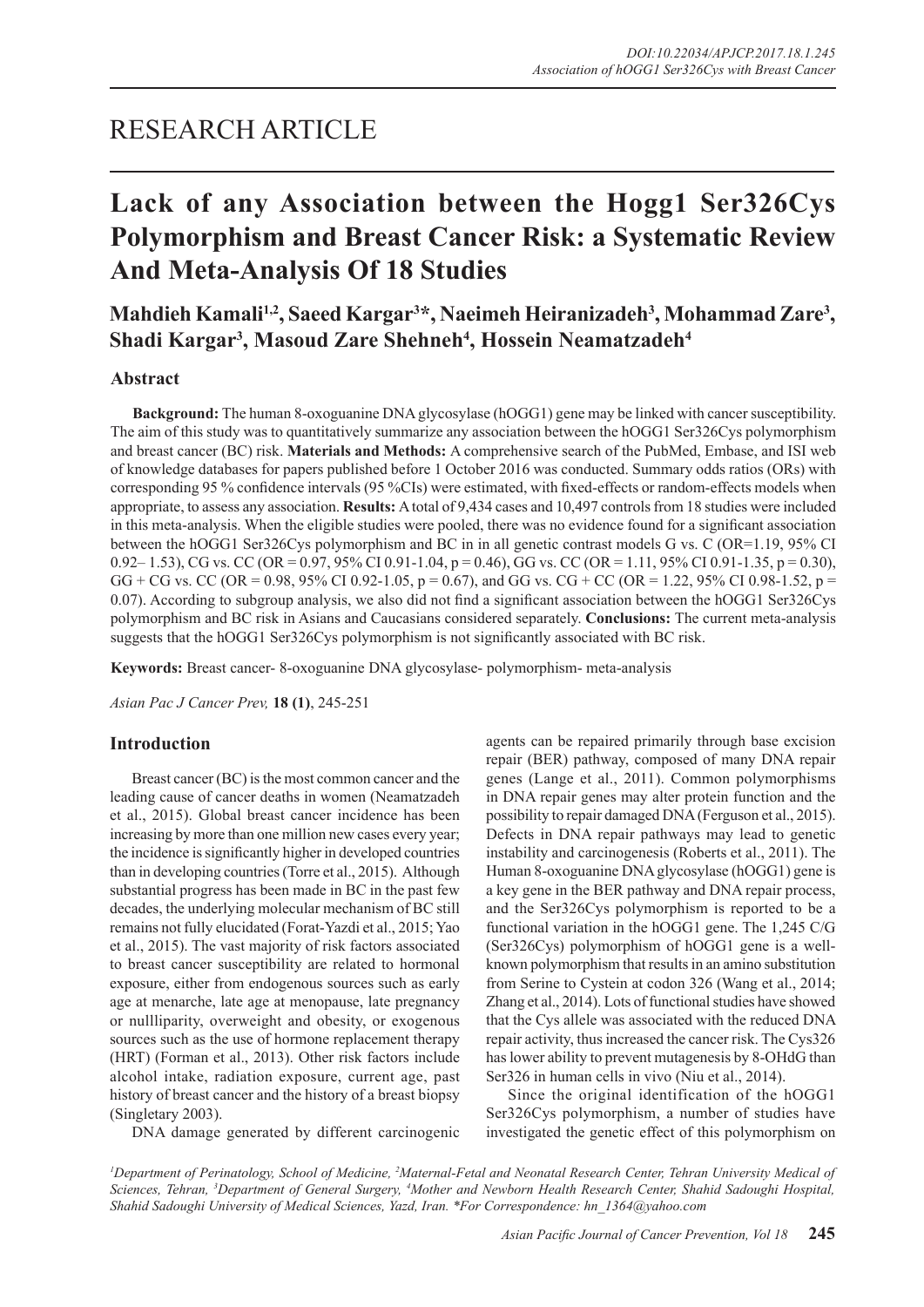# RESEARCH ARTICLE

# **Lack of any Association between the Hogg1 Ser326Cys Polymorphism and Breast Cancer Risk: a Systematic Review And Meta-Analysis Of 18 Studies**

Mahdieh Kamali<sup>1,2</sup>, Saeed Kargar<sup>3\*</sup>, Naeimeh Heiranizadeh<sup>3</sup>, Mohammad Zare<sup>3</sup>, **Shadi Kargar3 , Masoud Zare Shehneh4 , Hossein Neamatzadeh4**

## **Abstract**

**Background:** The human 8-oxoguanine DNA glycosylase (hOGG1) gene may be linked with cancer susceptibility. The aim of this study was to quantitatively summarize any association between the hOGG1 Ser326Cys polymorphism and breast cancer (BC) risk. **Materials and Methods:** A comprehensive search of the PubMed, Embase, and ISI web of knowledge databases for papers published before 1 October 2016 was conducted. Summary odds ratios (ORs) with corresponding 95 % confidence intervals (95 %CIs) were estimated, with fixed-effects or random-effects models when appropriate, to assess any association. **Results:** A total of 9,434 cases and 10,497 controls from 18 studies were included in this meta-analysis. When the eligible studies were pooled, there was no evidence found for a significant association between the hOGG1 Ser326Cys polymorphism and BC in in all genetic contrast models G vs. C (OR=1.19, 95% CI 0.92– 1.53), CG vs. CC (OR = 0.97, 95% CI 0.91-1.04, p = 0.46), GG vs. CC (OR = 1.11, 95% CI 0.91-1.35, p = 0.30), GG + CG vs. CC (OR = 0.98, 95% CI 0.92-1.05, p = 0.67), and GG vs. CG + CC (OR = 1.22, 95% CI 0.98-1.52, p = 0.07). According to subgroup analysis, we also did not find a significant association between the hOGG1 Ser326Cys polymorphism and BC risk in Asians and Caucasians considered separately. **Conclusions:** The current meta-analysis suggests that the hOGG1 Ser326Cys polymorphism is not significantly associated with BC risk.

**Keywords:** Breast cancer- 8-oxoguanine DNA glycosylase- polymorphism- meta-analysis

*Asian Pac J Cancer Prev,* **18 (1)**, 245-251

# **Introduction**

Breast cancer (BC) is the most common cancer and the leading cause of cancer deaths in women (Neamatzadeh et al., 2015). Global breast cancer incidence has been increasing by more than one million new cases every year; the incidence is significantly higher in developed countries than in developing countries (Torre et al., 2015). Although substantial progress has been made in BC in the past few decades, the underlying molecular mechanism of BC still remains not fully elucidated (Forat-Yazdi et al., 2015; Yao et al., 2015). The vast majority of risk factors associated to breast cancer susceptibility are related to hormonal exposure, either from endogenous sources such as early age at menarche, late age at menopause, late pregnancy or nullliparity, overweight and obesity, or exogenous sources such as the use of hormone replacement therapy (HRT) (Forman et al., 2013). Other risk factors include alcohol intake, radiation exposure, current age, past history of breast cancer and the history of a breast biopsy (Singletary 2003).

DNA damage generated by different carcinogenic

agents can be repaired primarily through base excision repair (BER) pathway, composed of many DNA repair genes (Lange et al., 2011). Common polymorphisms in DNA repair genes may alter protein function and the possibility to repair damaged DNA (Ferguson et al., 2015). Defects in DNA repair pathways may lead to genetic instability and carcinogenesis (Roberts et al., 2011). The Human 8-oxoguanine DNA glycosylase (hOGG1) gene is a key gene in the BER pathway and DNA repair process, and the Ser326Cys polymorphism is reported to be a functional variation in the hOGG1 gene. The 1,245 C/G (Ser326Cys) polymorphism of hOGG1 gene is a wellknown polymorphism that results in an amino substitution from Serine to Cystein at codon 326 (Wang et al., 2014; Zhang et al., 2014). Lots of functional studies have showed that the Cys allele was associated with the reduced DNA repair activity, thus increased the cancer risk. The Cys326 has lower ability to prevent mutagenesis by 8-OHdG than Ser326 in human cells in vivo (Niu et al., 2014).

Since the original identification of the hOGG1 Ser326Cys polymorphism, a number of studies have investigated the genetic effect of this polymorphism on

<sup>1</sup>Department of Perinatology, School of Medicine, <sup>2</sup>Maternal-Fetal and Neonatal Research Center, Tehran University Medical of *Sciences, Tehran, 3 Department of General Surgery, 4 Mother and Newborn Health Research Center, Shahid Sadoughi Hospital, Shahid Sadoughi University of Medical Sciences, Yazd, Iran. \*For Correspondence: hn\_1364@yahoo.com*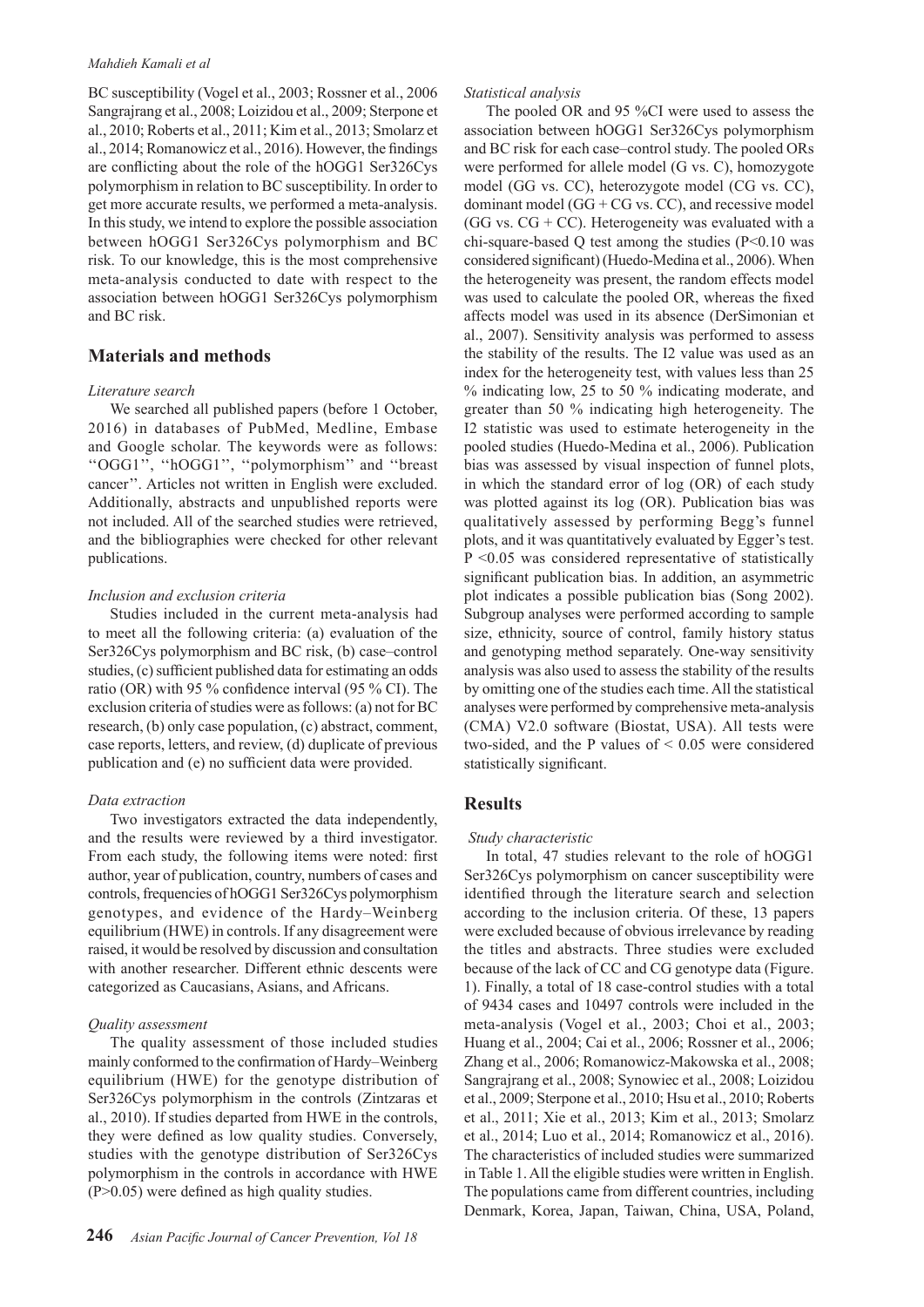### *Mahdieh Kamali et al*

BC susceptibility (Vogel et al., 2003; Rossner et al., 2006 Sangrajrang et al., 2008; Loizidou et al., 2009; Sterpone et al., 2010; Roberts et al., 2011; Kim et al., 2013; Smolarz et al., 2014; Romanowicz et al., 2016). However, the findings are conflicting about the role of the hOGG1 Ser326Cys polymorphism in relation to BC susceptibility. In order to get more accurate results, we performed a meta-analysis. In this study, we intend to explore the possible association between hOGG1 Ser326Cys polymorphism and BC risk. To our knowledge, this is the most comprehensive meta-analysis conducted to date with respect to the association between hOGG1 Ser326Cys polymorphism and BC risk.

## **Materials and methods**

#### *Literature search*

We searched all published papers (before 1 October, 2016) in databases of PubMed, Medline, Embase and Google scholar. The keywords were as follows: ''OGG1'', ''hOGG1'', ''polymorphism'' and ''breast cancer''. Articles not written in English were excluded. Additionally, abstracts and unpublished reports were not included. All of the searched studies were retrieved, and the bibliographies were checked for other relevant publications.

#### *Inclusion and exclusion criteria*

Studies included in the current meta-analysis had to meet all the following criteria: (a) evaluation of the Ser326Cys polymorphism and BC risk, (b) case–control studies, (c) sufficient published data for estimating an odds ratio (OR) with 95 % confidence interval (95 % CI). The exclusion criteria of studies were as follows: (a) not for BC research, (b) only case population, (c) abstract, comment, case reports, letters, and review, (d) duplicate of previous publication and (e) no sufficient data were provided.

#### *Data extraction*

Two investigators extracted the data independently, and the results were reviewed by a third investigator. From each study, the following items were noted: first author, year of publication, country, numbers of cases and controls, frequencies of hOGG1 Ser326Cys polymorphism genotypes, and evidence of the Hardy–Weinberg equilibrium (HWE) in controls. If any disagreement were raised, it would be resolved by discussion and consultation with another researcher. Different ethnic descents were categorized as Caucasians, Asians, and Africans.

#### *Quality assessment*

The quality assessment of those included studies mainly conformed to the confirmation of Hardy–Weinberg equilibrium (HWE) for the genotype distribution of Ser326Cys polymorphism in the controls (Zintzaras et al., 2010). If studies departed from HWE in the controls, they were defined as low quality studies. Conversely, studies with the genotype distribution of Ser326Cys polymorphism in the controls in accordance with HWE  $(P>0.05)$  were defined as high quality studies.

## *Statistical analysis*

The pooled OR and 95 %CI were used to assess the association between hOGG1 Ser326Cys polymorphism and BC risk for each case–control study. The pooled ORs were performed for allele model (G vs. C), homozygote model (GG vs. CC), heterozygote model (CG vs. CC), dominant model  $(GG + CG$  vs.  $CC)$ , and recessive model (GG vs.  $CG + CC$ ). Heterogeneity was evaluated with a chi-square-based Q test among the studies  $(P<0.10$  was considered significant) (Huedo-Medina et al., 2006). When the heterogeneity was present, the random effects model was used to calculate the pooled OR, whereas the fixed affects model was used in its absence (DerSimonian et al., 2007). Sensitivity analysis was performed to assess the stability of the results. The I2 value was used as an index for the heterogeneity test, with values less than 25 % indicating low, 25 to 50 % indicating moderate, and greater than 50 % indicating high heterogeneity. The I2 statistic was used to estimate heterogeneity in the pooled studies (Huedo-Medina et al., 2006). Publication bias was assessed by visual inspection of funnel plots, in which the standard error of log (OR) of each study was plotted against its log (OR). Publication bias was qualitatively assessed by performing Begg's funnel plots, and it was quantitatively evaluated by Egger's test. P <0.05 was considered representative of statistically significant publication bias. In addition, an asymmetric plot indicates a possible publication bias (Song 2002). Subgroup analyses were performed according to sample size, ethnicity, source of control, family history status and genotyping method separately. One-way sensitivity analysis was also used to assess the stability of the results by omitting one of the studies each time. All the statistical analyses were performed by comprehensive meta-analysis (CMA) V2.0 software (Biostat, USA). All tests were two-sided, and the P values of  $\leq 0.05$  were considered statistically significant.

## **Results**

#### *Study characteristic*

In total, 47 studies relevant to the role of hOGG1 Ser326Cys polymorphism on cancer susceptibility were identified through the literature search and selection according to the inclusion criteria. Of these, 13 papers were excluded because of obvious irrelevance by reading the titles and abstracts. Three studies were excluded because of the lack of CC and CG genotype data (Figure. 1). Finally, a total of 18 case-control studies with a total of 9434 cases and 10497 controls were included in the meta-analysis (Vogel et al., 2003; Choi et al., 2003; Huang et al., 2004; Cai et al., 2006; Rossner et al., 2006; Zhang et al., 2006; Romanowicz-Makowska et al., 2008; Sangrajrang et al., 2008; Synowiec et al., 2008; Loizidou et al., 2009; Sterpone et al., 2010; Hsu et al., 2010; Roberts et al., 2011; Xie et al., 2013; Kim et al., 2013; Smolarz et al., 2014; Luo et al., 2014; Romanowicz et al., 2016). The characteristics of included studies were summarized in Table 1. All the eligible studies were written in English. The populations came from different countries, including Denmark, Korea, Japan, Taiwan, China, USA, Poland,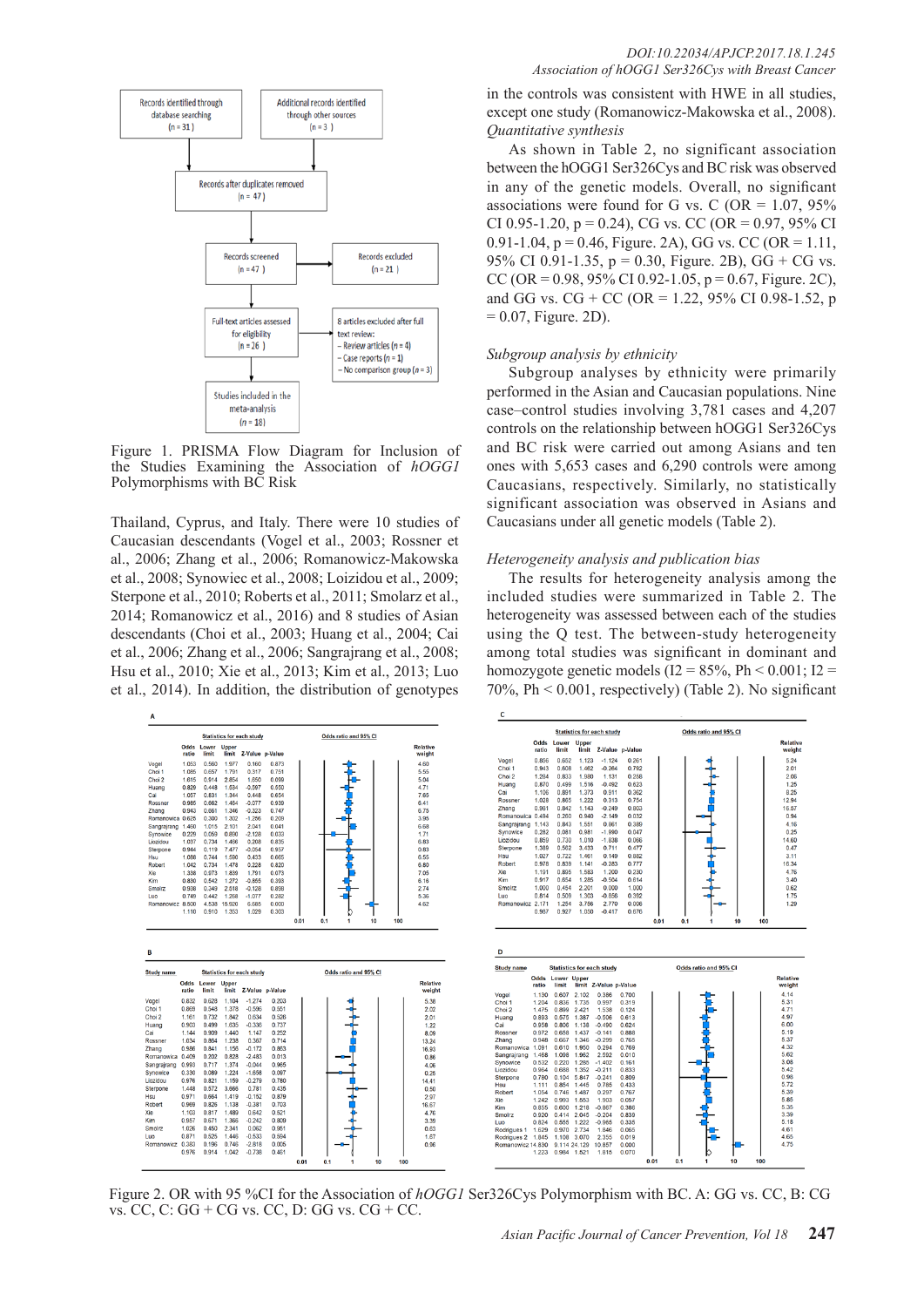

Figure 1. PRISMA Flow Diagram for Inclusion of the Studies Examining the Association of *hOGG1* Polymorphisms with BC Risk

Thailand, Cyprus, and Italy. There were 10 studies of Caucasian descendants (Vogel et al., 2003; Rossner et al., 2006; Zhang et al., 2006; Romanowicz-Makowska et al., 2008; Synowiec et al., 2008; Loizidou et al., 2009; Sterpone et al., 2010; Roberts et al., 2011; Smolarz et al., 2014; Romanowicz et al., 2016) and 8 studies of Asian descendants (Choi et al., 2003; Huang et al., 2004; Cai et al., 2006; Zhang et al., 2006; Sangrajrang et al., 2008; Hsu et al., 2010; Xie et al., 2013; Kim et al., 2013; Luo et al., 2014). In addition, the distribution of genotypes



## *DOI:10.22034/APJCP.2017.18.1.245 Association of hOGG1 Ser326Cys with Breast Cancer*

in the controls was consistent with HWE in all studies, except one study (Romanowicz-Makowska et al., 2008). *Quantitative synthesis*

As shown in Table 2, no significant association between the hOGG1 Ser326Cys and BC risk was observed in any of the genetic models. Overall, no significant associations were found for G vs. C (OR =  $1.07$ ,  $95\%$ CI 0.95-1.20,  $p = 0.24$ ), CG vs. CC (OR = 0.97, 95% CI 0.91-1.04,  $p = 0.46$ , Figure. 2A), GG vs. CC (OR = 1.11, 95% CI 0.91-1.35,  $p = 0.30$ , Figure. 2B), GG + CG vs. CC (OR = 0.98, 95% CI 0.92-1.05,  $p = 0.67$ , Figure. 2C), and GG vs.  $CG + CC$  (OR = 1.22, 95% CI 0.98-1.52, p  $= 0.07$ , Figure. 2D).

### *Subgroup analysis by ethnicity*

Subgroup analyses by ethnicity were primarily performed in the Asian and Caucasian populations. Nine case–control studies involving 3,781 cases and 4,207 controls on the relationship between hOGG1 Ser326Cys and BC risk were carried out among Asians and ten ones with 5,653 cases and 6,290 controls were among Caucasians, respectively. Similarly, no statistically significant association was observed in Asians and Caucasians under all genetic models (Table 2).

## *Heterogeneity analysis and publication bias*

The results for heterogeneity analysis among the included studies were summarized in Table 2. The heterogeneity was assessed between each of the studies using the Q test. The between-study heterogeneity among total studies was significant in dominant and homozygote genetic models ( $I2 = 85\%$ , Ph < 0.001;  $I2 =$ 70%, Ph < 0.001, respectively) (Table 2). No significant



Figure 2. OR with 95 %CI for the Association of *hOGG1* Ser326Cys Polymorphism with BC. A: GG vs. CC, B: CG vs. CC, C: GG + CG vs. CC, D: GG vs. CG + CC.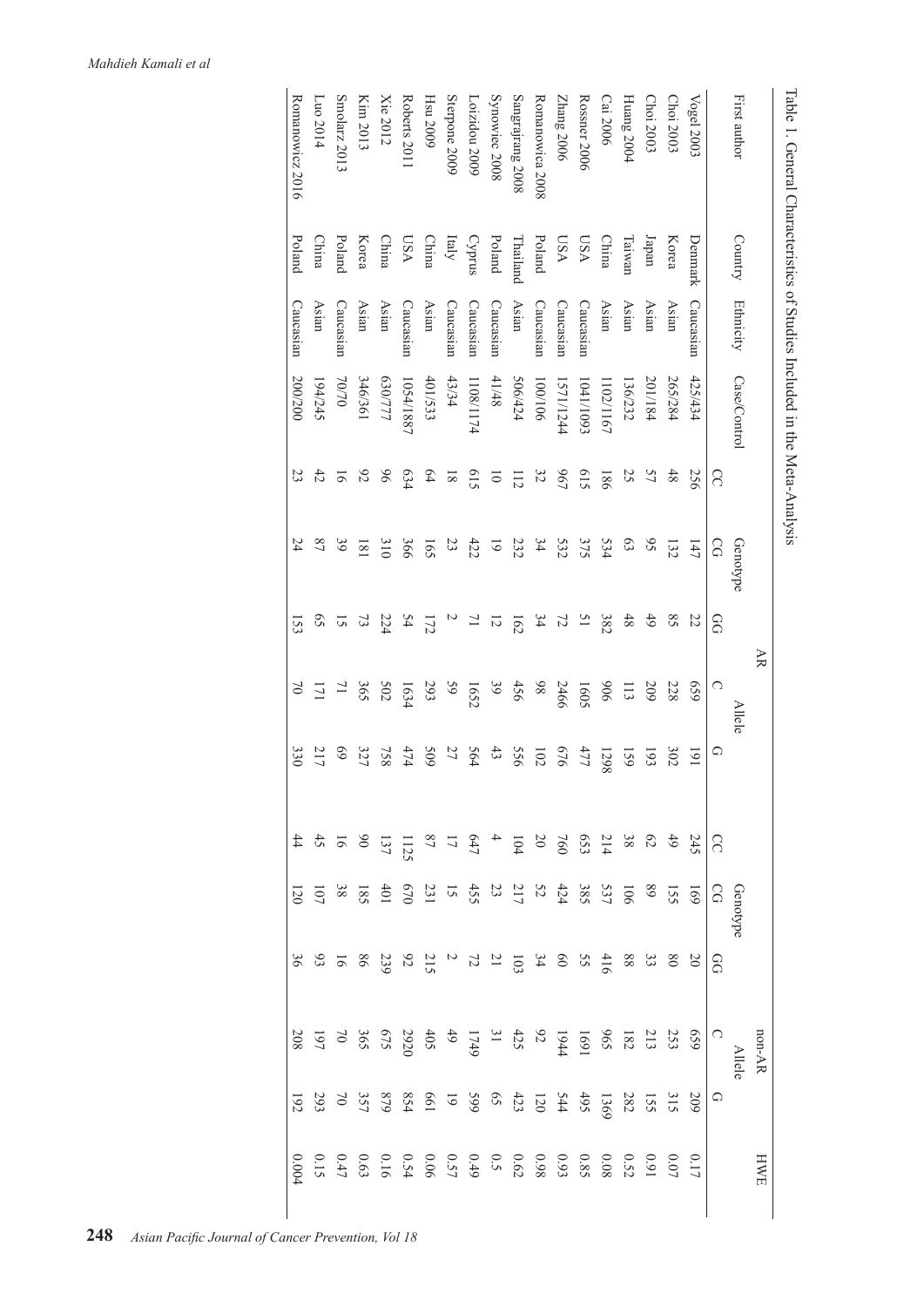|                                       |                 |                  |              |                    |                            | AR                          |                 |                  |   |                                                                    |                           | non-AR        |            | HWE      |
|---------------------------------------|-----------------|------------------|--------------|--------------------|----------------------------|-----------------------------|-----------------|------------------|---|--------------------------------------------------------------------|---------------------------|---------------|------------|----------|
| First author                          | Country         | <b>Ethnicity</b> | Case/Control |                    | Genotype                   |                             | Allele          |                  |   | Genotype                                                           |                           | <b>Allele</b> |            |          |
|                                       |                 |                  |              | S                  | SG                         | œ                           | C               | ♤                | S | $\Omega$                                                           | 8                         | C             | $\bigcirc$ |          |
| Vogel 2003                            | Denmark         | Caucasian        | 425/434      | 256                | 147                        | 22                          | 659             | $\overline{161}$ |   | 691                                                                |                           | 659           | 509        | 0.17     |
| Choi 2003                             | Korea           | Asian            | 265/284      | 48                 | 132                        | $\mathcal{S}8$              | 228             | 302              |   | 55                                                                 |                           |               |            |          |
| Choi 2003                             | Iapan           | Asian            | 201/184      | 57                 | $\mathcal{S}$              | 6 <sup>4</sup>              | 209             | 193              |   | 68                                                                 |                           |               |            |          |
| Huang 2004                            | Taiwan          | Asian            | 36/232       | 25                 | $\boldsymbol{\mathcal{E}}$ | $48$                        | $\Xi$           | 159              |   | 901                                                                |                           |               |            |          |
| Cai 2006                              | China           | Asian            | 102/1167     | 981                | 534                        | 382                         | 906             | 1298             |   |                                                                    |                           |               |            |          |
| Rossner 2006                          | VSS             | Caucasian        | 1041/1093    | 615                | 375                        | $\overline{51}$             | 1605            | 477              |   | $5327$<br>385                                                      |                           |               |            |          |
| Zhang 2006                            | VSS             | Caucasian        | 1571/1244    | <b>967</b>         | 532                        | 72                          | 2466            | 919              |   |                                                                    |                           |               |            |          |
| Romanowica 2008                       | Poland          | Caucasian        | 901/001      | 32                 | 34                         | 34                          | 86              | 102              |   |                                                                    |                           |               |            |          |
| Sangrajrang 2008                      | <b>Thailand</b> | Asian            | 506/424      | 112                | 232                        | 162                         | 456             | 955              |   | $rac{52}{23}$                                                      | $20833826832212423338253$ |               |            |          |
| Synowiec 2008                         | Poland          | Caucasian        | 41/48        | $\overline{\circ}$ | $\overline{6}$             | 12                          | $\mathfrak{g}9$ | 43               |   |                                                                    |                           |               |            |          |
| Loizidou 2009                         | SnudA           | Caucasian        | 1108/1174    | 615                | 422                        | $\overline{a}$              | 1652            | 564              |   |                                                                    |                           |               |            |          |
| Sterpone 2009                         | Italy           | Caucasian        | 43/34        | $\overline{8}$     | 23                         | $\overline{c}$              | 65              | 27               |   | $\frac{425}{15}$ $\frac{236}{15}$ $\frac{836}{15}$ $\frac{83}{15}$ |                           |               |            |          |
| Hsu 2009                              | China           | Asian            | 401/533      | $64$               | 165                        | 172                         | 293             | 60S              |   |                                                                    |                           |               |            |          |
| Roberts 2011                          | VSS             | $\text{Cauchon}$ | 1054/1887    | 634                | 366                        | 54                          | 1634            | 474              |   |                                                                    |                           |               |            |          |
| Xie 2012                              | China           | Asian            | 630/777      | 96                 | 310                        | 224                         | 502             | 758              |   |                                                                    |                           |               |            |          |
| Kim 2013                              | Korea           | Asian            | 196/361      | $6\overline{6}$    | $\overline{181}$           | 73                          | 365             | 327              |   |                                                                    |                           |               |            |          |
| Smolarz 2013                          | Poland          | Caucasian        | 70/70        | 5                  | 39                         | 5                           | $\overline{L}$  | 69               |   |                                                                    |                           |               |            | $0.47\,$ |
| $\frac{[L_{10} 2014]}{[L_{10} 2014]}$ | China           | Asian            | 194/245      | 42                 | $^{22}$                    | $\mathcal{S}^{\mathcal{S}}$ | 171             | 217              |   |                                                                    |                           |               |            | 0.15     |
| Romanowicz 2016                       | Poland          | Caucasian        | 200/200      | 23                 | 24                         | 153                         | $\approx$       | 330              |   | 120                                                                | $36\,$                    | $208\,$       | $192\,$    | $0.004$  |

Table 1. General Characteristics of Studies Included in the Meta-Analysis Table 1. General Characteristics of Studies Included in the Meta-Analysis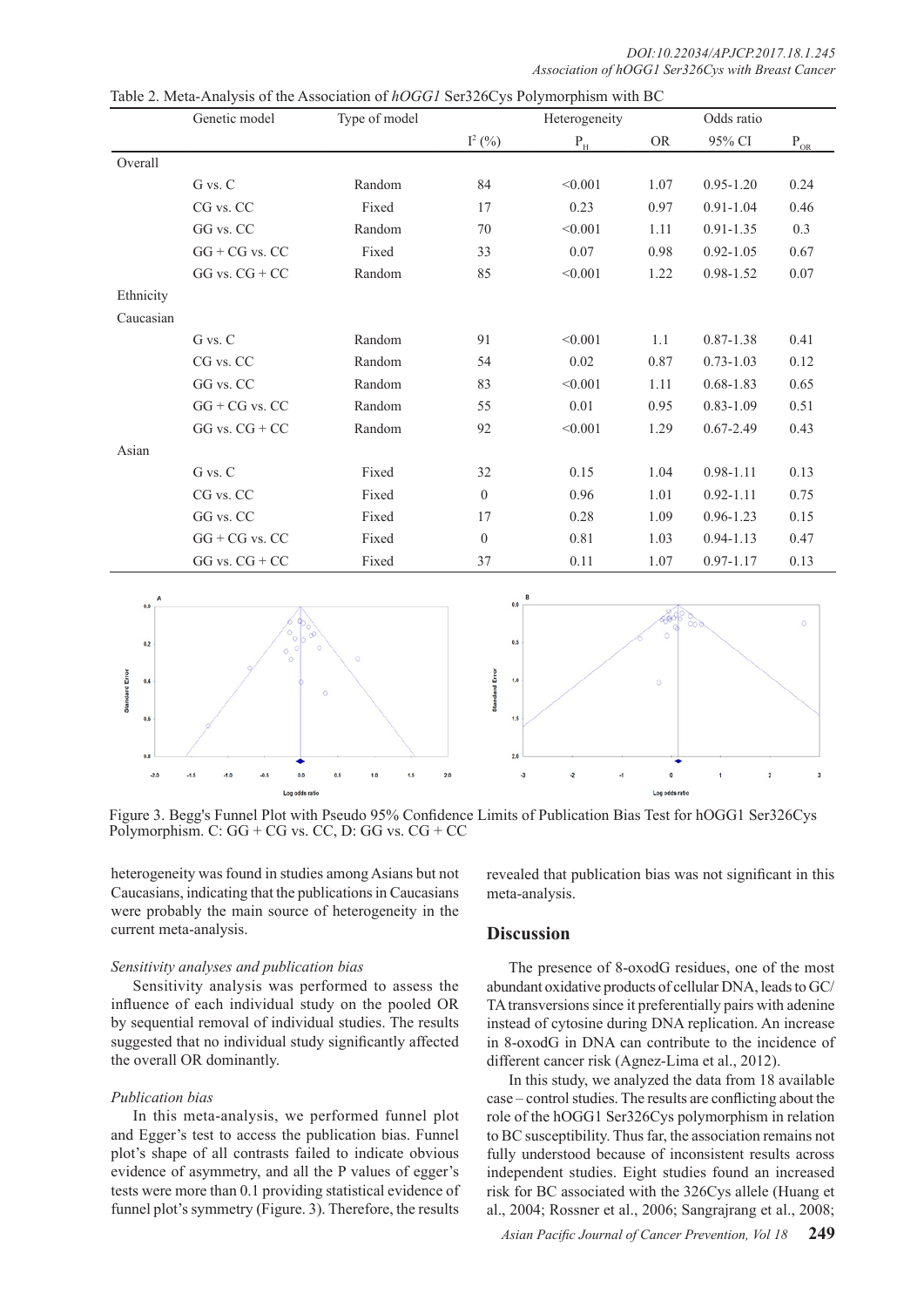*DOI:10.22034/APJCP.2017.18.1.245 Association of hOGG1 Ser326Cys with Breast Cancer*

|           | Genetic model      | Type of model |                | Heterogeneity             |           | Odds ratio    |                             |
|-----------|--------------------|---------------|----------------|---------------------------|-----------|---------------|-----------------------------|
|           |                    |               | $I^2(%)$       | $\mathbf{P}_{\mathrm{H}}$ | <b>OR</b> | 95% CI        | $P_{\underline{\text{OR}}}$ |
| Overall   |                    |               |                |                           |           |               |                             |
|           | G vs. C            | Random        | 84             | < 0.001                   | 1.07      | $0.95 - 1.20$ | 0.24                        |
|           | CG vs. CC          | Fixed         | 17             | 0.23                      | 0.97      | $0.91 - 1.04$ | 0.46                        |
|           | GG vs. CC          | Random        | 70             | < 0.001                   | 1.11      | $0.91 - 1.35$ | 0.3                         |
|           | $GG + CG$ vs. $CC$ | Fixed         | 33             | 0.07                      | 0.98      | $0.92 - 1.05$ | 0.67                        |
|           | $GG$ vs. $CG + CC$ | Random        | 85             | < 0.001                   | 1.22      | 0.98-1.52     | 0.07                        |
| Ethnicity |                    |               |                |                           |           |               |                             |
| Caucasian |                    |               |                |                           |           |               |                             |
|           | G vs. C            | Random        | 91             | < 0.001                   | $1.1\,$   | $0.87 - 1.38$ | 0.41                        |
|           | CG vs. CC          | Random        | 54             | 0.02                      | 0.87      | $0.73 - 1.03$ | 0.12                        |
|           | GG vs. CC          | Random        | 83             | < 0.001                   | 1.11      | $0.68 - 1.83$ | 0.65                        |
|           | $GG + CG$ vs. $CC$ | Random        | 55             | 0.01                      | 0.95      | $0.83 - 1.09$ | 0.51                        |
|           | $GG$ vs. $CG + CC$ | Random        | 92             | < 0.001                   | 1.29      | $0.67 - 2.49$ | 0.43                        |
| Asian     |                    |               |                |                           |           |               |                             |
|           | G vs. C            | Fixed         | 32             | 0.15                      | 1.04      | $0.98 - 1.11$ | 0.13                        |
|           | CG vs. CC          | Fixed         | $\overline{0}$ | 0.96                      | 1.01      | $0.92 - 1.11$ | 0.75                        |
|           | GG vs. CC          | Fixed         | 17             | 0.28                      | 1.09      | $0.96 - 1.23$ | 0.15                        |
|           | $GG + CG$ vs. $CC$ | Fixed         | $\mathbf{0}$   | 0.81                      | 1.03      | $0.94 - 1.13$ | 0.47                        |
|           | $GG$ vs. $CG + CC$ | Fixed         | 37             | 0.11                      | 1.07      | $0.97 - 1.17$ | 0.13                        |

Table 2. Meta-Analysis of the Association of *hOGG1* Ser326Cys Polymorphism with BC



Figure 3. Begg's Funnel Plot with Pseudo 95% Confidence Limits of Publication Bias Test for hOGG1 Ser326Cys Polymorphism. C:  $GG + CG$  vs.  $CC$ , D:  $GG$  vs.  $CG + CC$ 

heterogeneity was found in studies among Asians but not Caucasians, indicating that the publications in Caucasians were probably the main source of heterogeneity in the current meta-analysis.

## *Sensitivity analyses and publication bias*

Sensitivity analysis was performed to assess the influence of each individual study on the pooled OR by sequential removal of individual studies. The results suggested that no individual study significantly affected the overall OR dominantly.

## *Publication bias*

In this meta-analysis, we performed funnel plot and Egger's test to access the publication bias. Funnel plot's shape of all contrasts failed to indicate obvious evidence of asymmetry, and all the P values of egger's tests were more than 0.1 providing statistical evidence of funnel plot's symmetry (Figure. 3). Therefore, the results

revealed that publication bias was not significant in this meta-analysis.

## **Discussion**

The presence of 8-oxodG residues, one of the most abundant oxidative products of cellular DNA, leads to GC/ TA transversions since it preferentially pairs with adenine instead of cytosine during DNA replication. An increase in 8-oxodG in DNA can contribute to the incidence of different cancer risk (Agnez-Lima et al., 2012).

In this study, we analyzed the data from 18 available case – control studies. The results are conflicting about the role of the hOGG1 Ser326Cys polymorphism in relation to BC susceptibility. Thus far, the association remains not fully understood because of inconsistent results across independent studies. Eight studies found an increased risk for BC associated with the 326Cys allele (Huang et al., 2004; Rossner et al., 2006; Sangrajrang et al., 2008;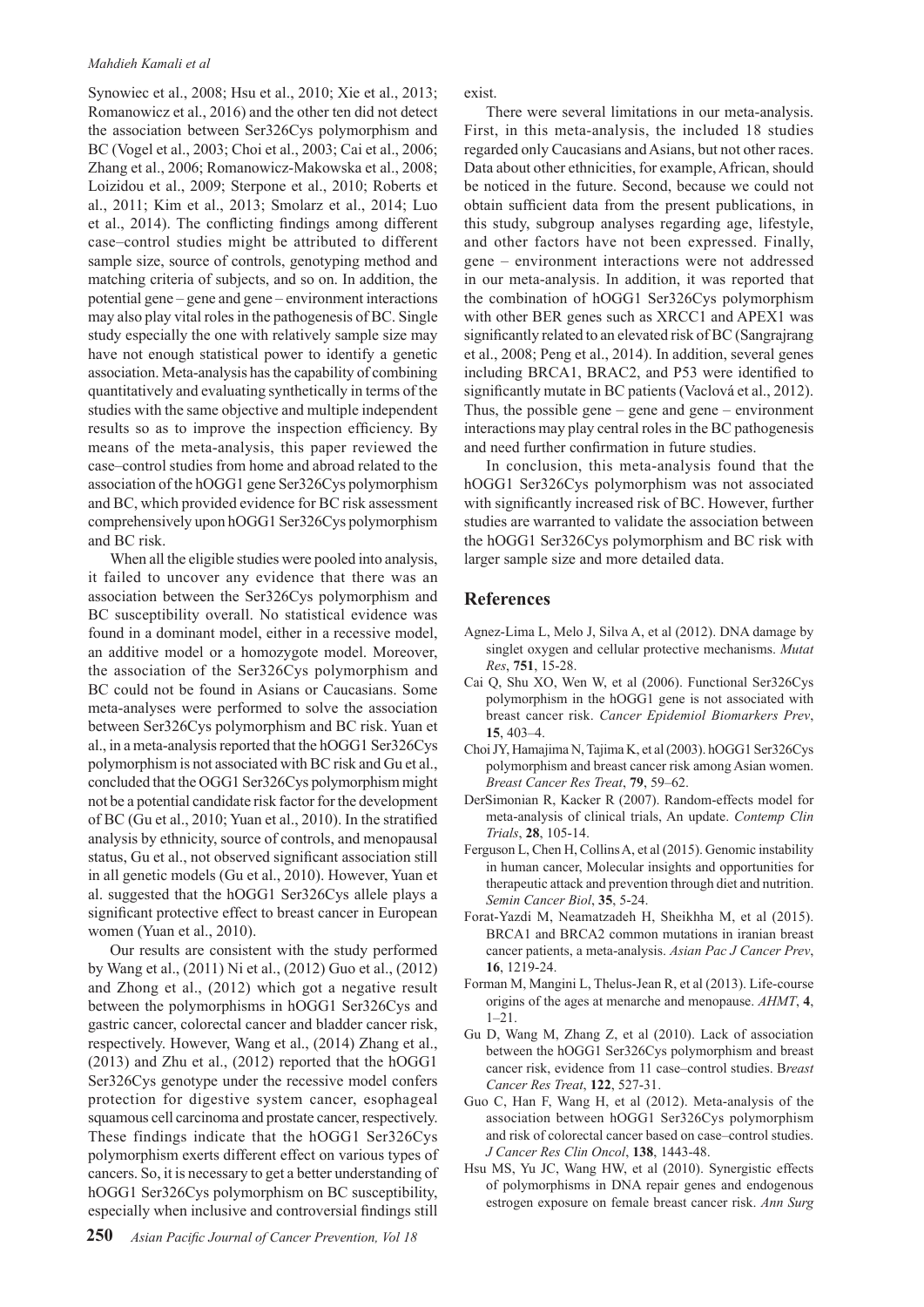### *Mahdieh Kamali et al*

Synowiec et al., 2008; Hsu et al., 2010; Xie et al., 2013; Romanowicz et al., 2016) and the other ten did not detect the association between Ser326Cys polymorphism and BC (Vogel et al., 2003; Choi et al., 2003; Cai et al., 2006; Zhang et al., 2006; Romanowicz-Makowska et al., 2008; Loizidou et al., 2009; Sterpone et al., 2010; Roberts et al., 2011; Kim et al., 2013; Smolarz et al., 2014; Luo et al., 2014). The conflicting findings among different case–control studies might be attributed to different sample size, source of controls, genotyping method and matching criteria of subjects, and so on. In addition, the potential gene – gene and gene – environment interactions may also play vital roles in the pathogenesis of BC. Single study especially the one with relatively sample size may have not enough statistical power to identify a genetic association. Meta-analysis has the capability of combining quantitatively and evaluating synthetically in terms of the studies with the same objective and multiple independent results so as to improve the inspection efficiency. By means of the meta-analysis, this paper reviewed the case–control studies from home and abroad related to the association of the hOGG1 gene Ser326Cys polymorphism and BC, which provided evidence for BC risk assessment comprehensively upon hOGG1 Ser326Cys polymorphism and BC risk.

When all the eligible studies were pooled into analysis, it failed to uncover any evidence that there was an association between the Ser326Cys polymorphism and BC susceptibility overall. No statistical evidence was found in a dominant model, either in a recessive model, an additive model or a homozygote model. Moreover, the association of the Ser326Cys polymorphism and BC could not be found in Asians or Caucasians. Some meta-analyses were performed to solve the association between Ser326Cys polymorphism and BC risk. Yuan et al., in a meta-analysis reported that the hOGG1 Ser326Cys polymorphism is not associated with BC risk and Gu et al., concluded that the OGG1 Ser326Cys polymorphism might not be a potential candidate risk factor for the development of BC (Gu et al., 2010; Yuan et al., 2010). In the stratified analysis by ethnicity, source of controls, and menopausal status, Gu et al., not observed significant association still in all genetic models (Gu et al., 2010). However, Yuan et al. suggested that the hOGG1 Ser326Cys allele plays a significant protective effect to breast cancer in European women (Yuan et al., 2010).

Our results are consistent with the study performed by Wang et al., (2011) Ni et al., (2012) Guo et al., (2012) and Zhong et al., (2012) which got a negative result between the polymorphisms in hOGG1 Ser326Cys and gastric cancer, colorectal cancer and bladder cancer risk, respectively. However, Wang et al., (2014) Zhang et al., (2013) and Zhu et al., (2012) reported that the hOGG1 Ser326Cys genotype under the recessive model confers protection for digestive system cancer, esophageal squamous cell carcinoma and prostate cancer, respectively. These findings indicate that the hOGG1 Ser326Cys polymorphism exerts different effect on various types of cancers. So, it is necessary to get a better understanding of hOGG1 Ser326Cys polymorphism on BC susceptibility, especially when inclusive and controversial findings still

exist.

There were several limitations in our meta-analysis. First, in this meta-analysis, the included 18 studies regarded only Caucasians and Asians, but not other races. Data about other ethnicities, for example, African, should be noticed in the future. Second, because we could not obtain sufficient data from the present publications, in this study, subgroup analyses regarding age, lifestyle, and other factors have not been expressed. Finally, gene – environment interactions were not addressed in our meta-analysis. In addition, it was reported that the combination of hOGG1 Ser326Cys polymorphism with other BER genes such as XRCC1 and APEX1 was significantly related to an elevated risk of BC (Sangrajrang et al., 2008; Peng et al., 2014). In addition, several genes including BRCA1, BRAC2, and P53 were identified to significantly mutate in BC patients (Vaclová et al., 2012). Thus, the possible gene – gene and gene – environment interactions may play central roles in the BC pathogenesis and need further confirmation in future studies.

In conclusion, this meta-analysis found that the hOGG1 Ser326Cys polymorphism was not associated with significantly increased risk of BC. However, further studies are warranted to validate the association between the hOGG1 Ser326Cys polymorphism and BC risk with larger sample size and more detailed data.

# **References**

- Agnez-Lima L, Melo J, Silva A, et al (2012). DNA damage by singlet oxygen and cellular protective mechanisms. *Mutat Res*, **751**, 15-28.
- Cai Q, Shu XO, Wen W, et al (2006). Functional Ser326Cys polymorphism in the hOGG1 gene is not associated with breast cancer risk. *Cancer Epidemiol Biomarkers Prev*, **15**, 403–4.
- Choi JY, Hamajima N, Tajima K, et al (2003). hOGG1 Ser326Cys polymorphism and breast cancer risk among Asian women. *Breast Cancer Res Treat*, **79**, 59–62.
- DerSimonian R, Kacker R (2007). Random-effects model for meta-analysis of clinical trials, An update. *Contemp Clin Trials*, **28**, 105-14.
- Ferguson L, Chen H, Collins A, et al (2015). Genomic instability in human cancer, Molecular insights and opportunities for therapeutic attack and prevention through diet and nutrition. *Semin Cancer Biol*, **35**, 5-24.
- Forat-Yazdi M, Neamatzadeh H, Sheikhha M, et al (2015). BRCA1 and BRCA2 common mutations in iranian breast cancer patients, a meta-analysis. *Asian Pac J Cancer Prev*, **16**, 1219-24.
- Forman M, Mangini L, Thelus-Jean R, et al (2013). Life-course origins of the ages at menarche and menopause. *AHMT*, **4**,  $1 - 21$ .
- Gu D, Wang M, Zhang Z, et al (2010). Lack of association between the hOGG1 Ser326Cys polymorphism and breast cancer risk, evidence from 11 case–control studies. B*reast Cancer Res Treat*, **122**, 527-31.
- Guo C, Han F, Wang H, et al (2012). Meta-analysis of the association between hOGG1 Ser326Cys polymorphism and risk of colorectal cancer based on case–control studies. *J Cancer Res Clin Oncol*, **138**, 1443-48.
- Hsu MS, Yu JC, Wang HW, et al (2010). Synergistic effects of polymorphisms in DNA repair genes and endogenous estrogen exposure on female breast cancer risk. *Ann Surg*